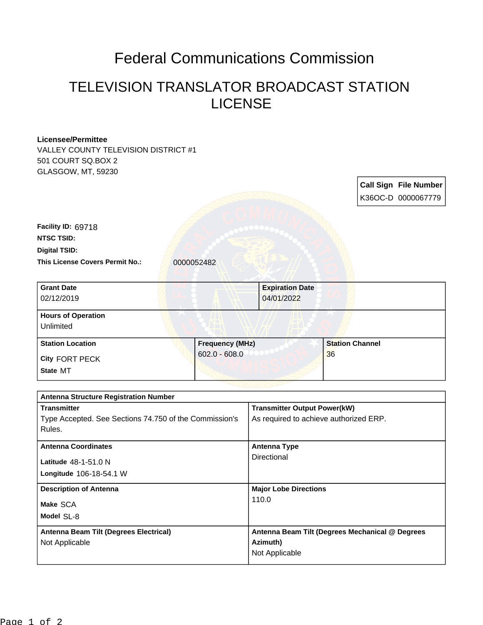## Federal Communications Commission

## TELEVISION TRANSLATOR BROADCAST STATION LICENSE

| <b>Licensee/Permittee</b>                                        |                 |                                                 |                        |  |                              |
|------------------------------------------------------------------|-----------------|-------------------------------------------------|------------------------|--|------------------------------|
| VALLEY COUNTY TELEVISION DISTRICT #1                             |                 |                                                 |                        |  |                              |
| 501 COURT SQ.BOX 2                                               |                 |                                                 |                        |  |                              |
| GLASGOW, MT, 59230                                               |                 |                                                 |                        |  |                              |
|                                                                  |                 |                                                 |                        |  | <b>Call Sign File Number</b> |
|                                                                  |                 |                                                 |                        |  | K36OC-D 0000067779           |
|                                                                  |                 |                                                 |                        |  |                              |
| Facility ID: 69718                                               |                 |                                                 |                        |  |                              |
| <b>NTSC TSID:</b>                                                |                 |                                                 |                        |  |                              |
| <b>Digital TSID:</b>                                             |                 |                                                 |                        |  |                              |
| This License Covers Permit No.:                                  | 0000052482      |                                                 |                        |  |                              |
| <b>Grant Date</b>                                                |                 | <b>Expiration Date</b>                          |                        |  |                              |
| 02/12/2019                                                       |                 | 04/01/2022                                      |                        |  |                              |
| <b>Hours of Operation</b>                                        |                 |                                                 |                        |  |                              |
| Unlimited                                                        |                 |                                                 |                        |  |                              |
| <b>Station Location</b>                                          | Frequency (MHz) |                                                 | <b>Station Channel</b> |  |                              |
| City FORT PECK                                                   | $602.0 - 608.0$ |                                                 | 36                     |  |                              |
| State MT                                                         |                 |                                                 |                        |  |                              |
|                                                                  |                 |                                                 |                        |  |                              |
| <b>Antenna Structure Registration Number</b>                     |                 |                                                 |                        |  |                              |
| <b>Transmitter</b>                                               |                 | <b>Transmitter Output Power(kW)</b>             |                        |  |                              |
| Type Accepted. See Sections 74.750 of the Commission's<br>Rules. |                 | As required to achieve authorized ERP.          |                        |  |                              |
|                                                                  |                 |                                                 |                        |  |                              |
| <b>Antenna Coordinates</b>                                       |                 | <b>Antenna Type</b>                             |                        |  |                              |
| Latitude 48-1-51.0 N                                             |                 | Directional                                     |                        |  |                              |
| Longitude 106-18-54.1 W                                          |                 |                                                 |                        |  |                              |
| <b>Description of Antenna</b>                                    |                 | <b>Major Lobe Directions</b>                    |                        |  |                              |
| Make SCA                                                         |                 | 110.0                                           |                        |  |                              |
| Model SL-8                                                       |                 |                                                 |                        |  |                              |
| Antenna Beam Tilt (Degrees Electrical)                           |                 | Antenna Beam Tilt (Degrees Mechanical @ Degrees |                        |  |                              |
| Not Applicable                                                   |                 | Azimuth)                                        |                        |  |                              |
|                                                                  |                 | Not Applicable                                  |                        |  |                              |